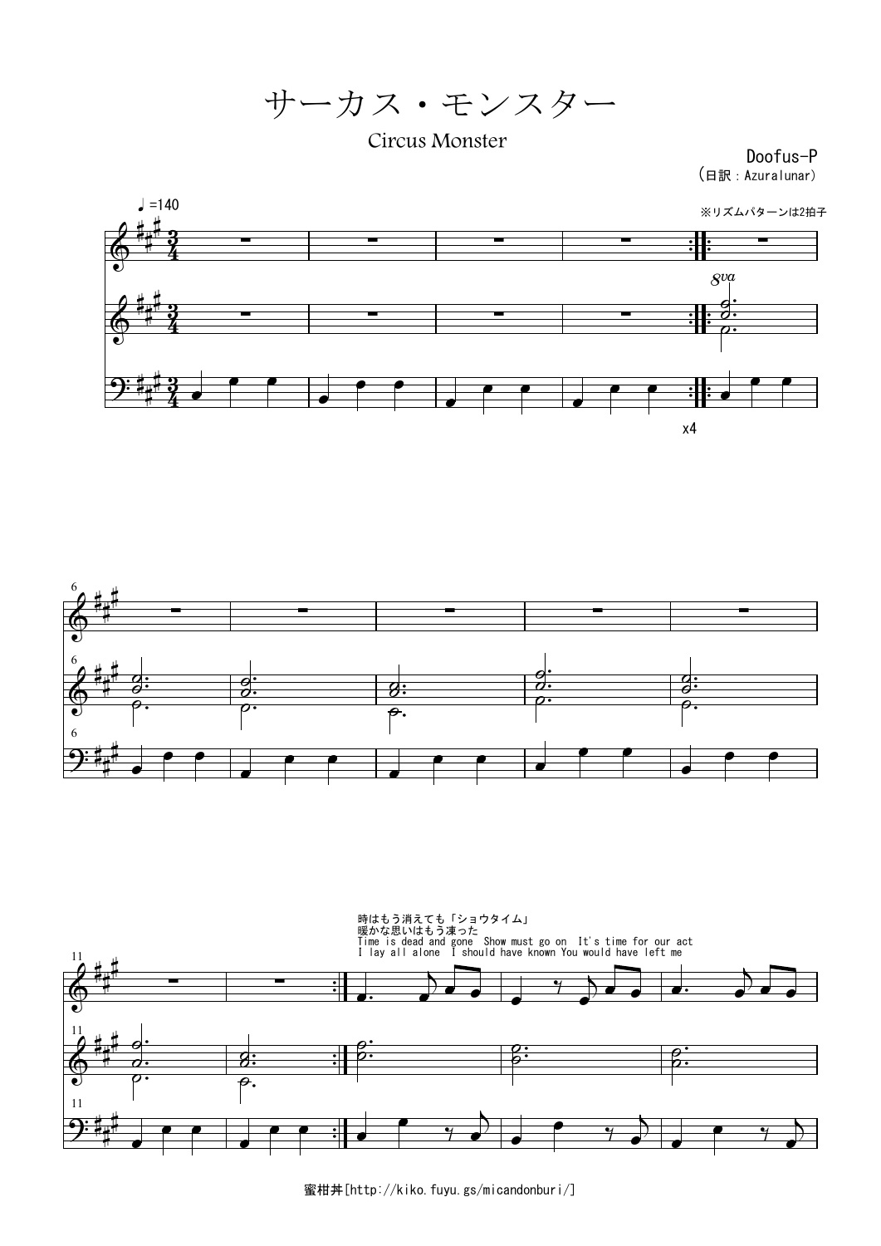サーカス・モンスター

Circus Monster

Doofus-P (日訳:Azuralunar)







蜜柑丼[http://kiko.fuyu.gs/micandonburi/]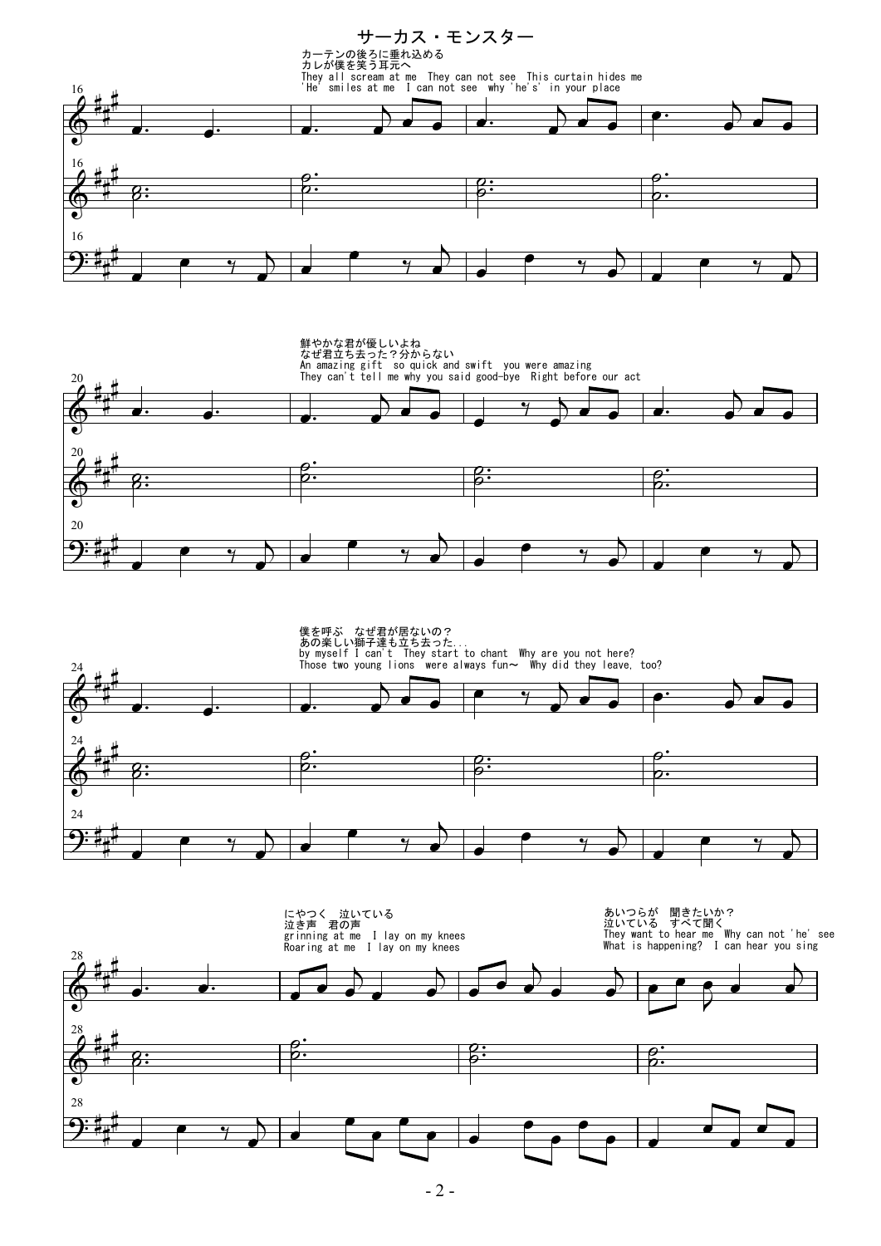サーカス・モンスター







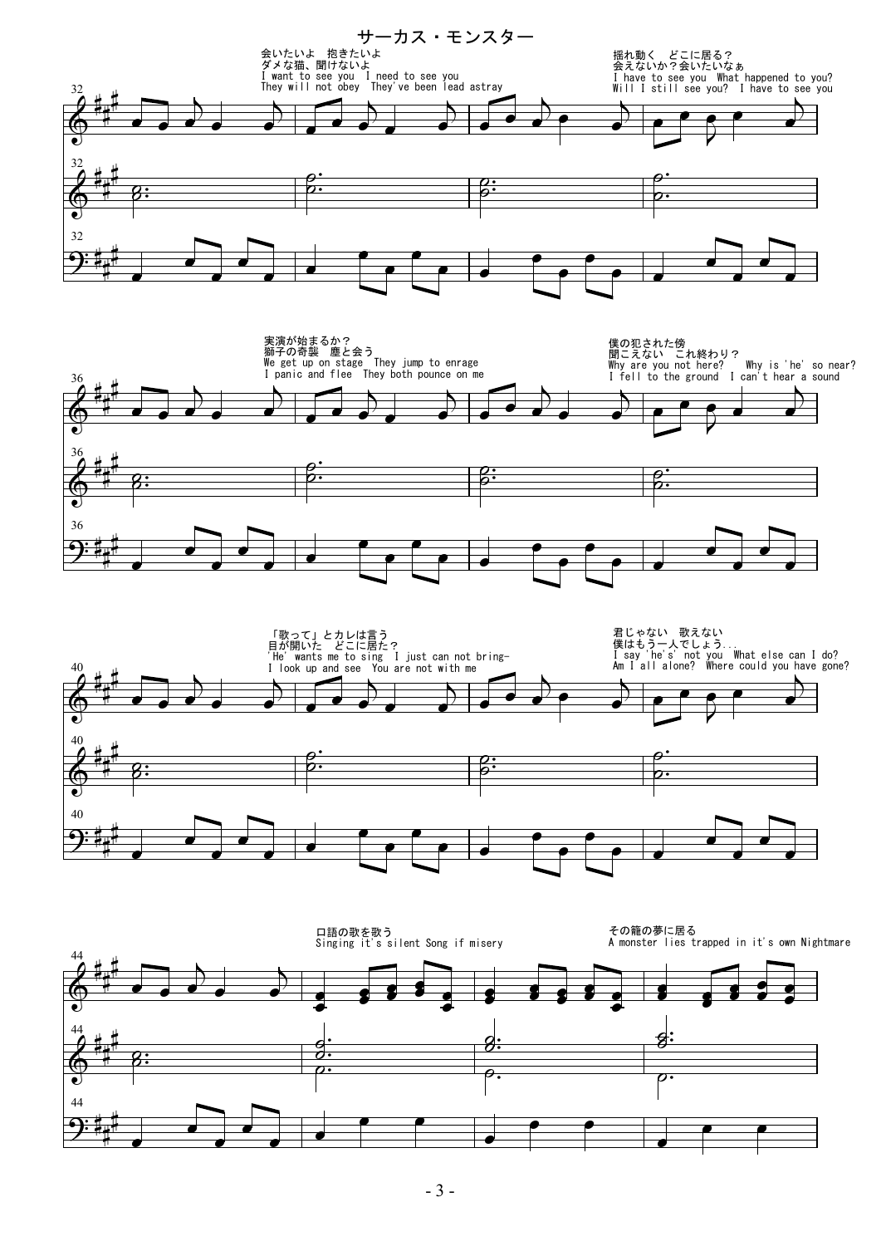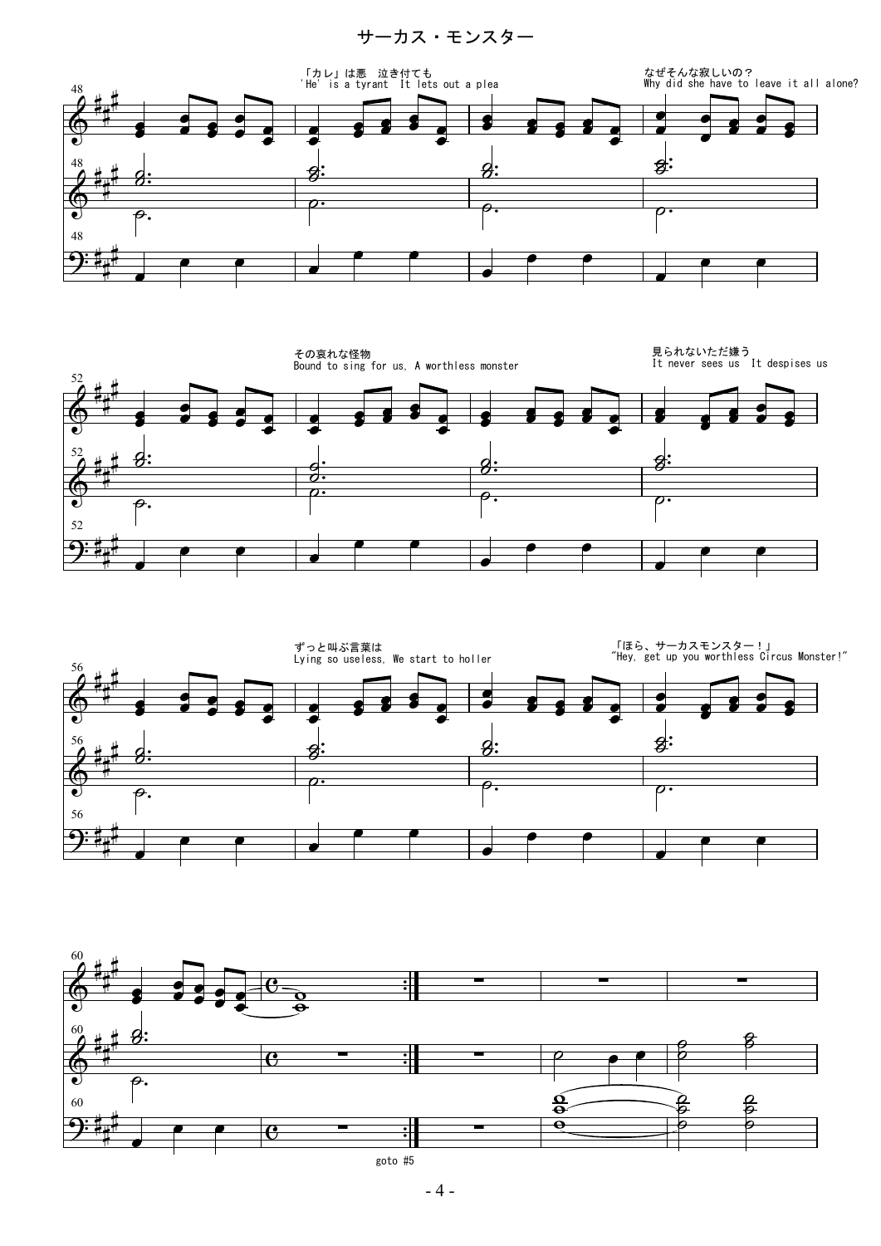サーカス・モンスター







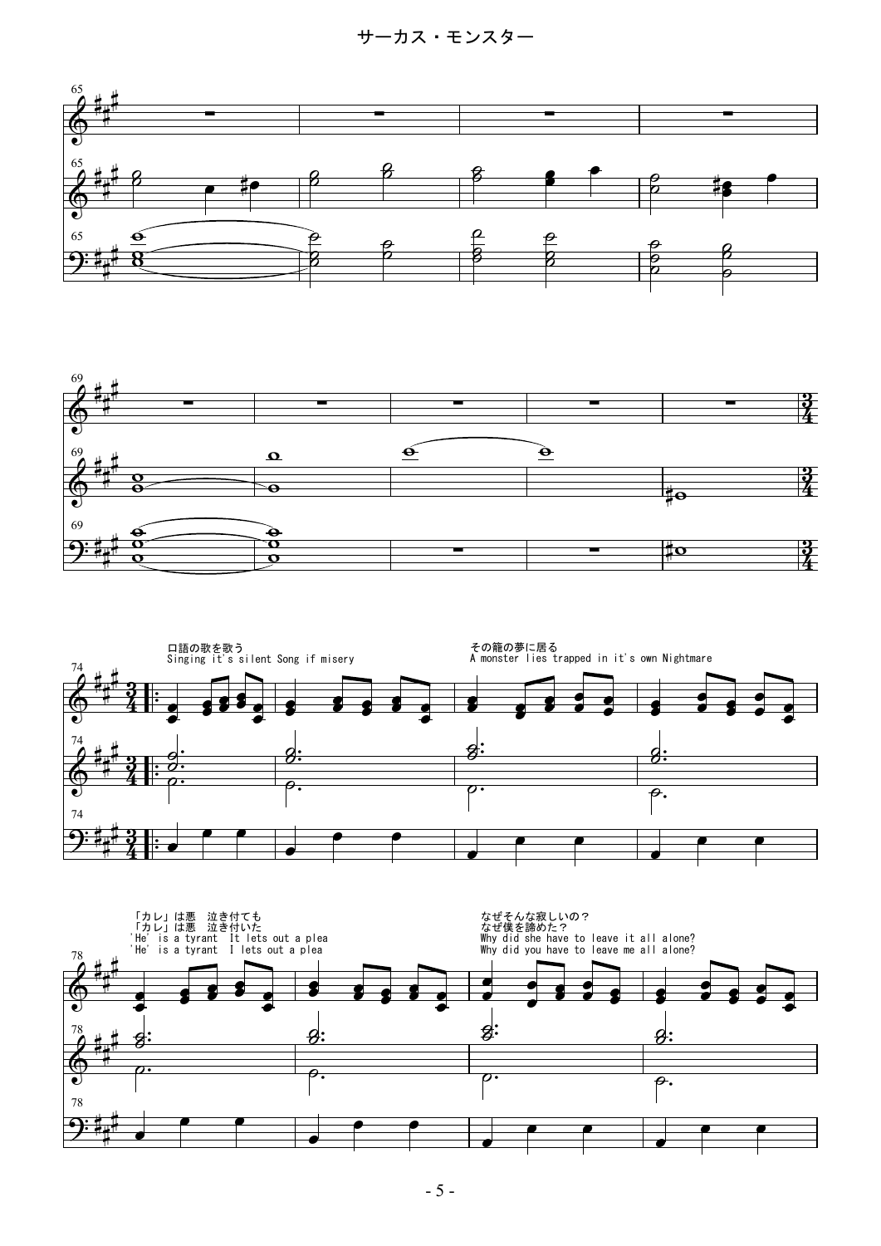サーカス・モンスター